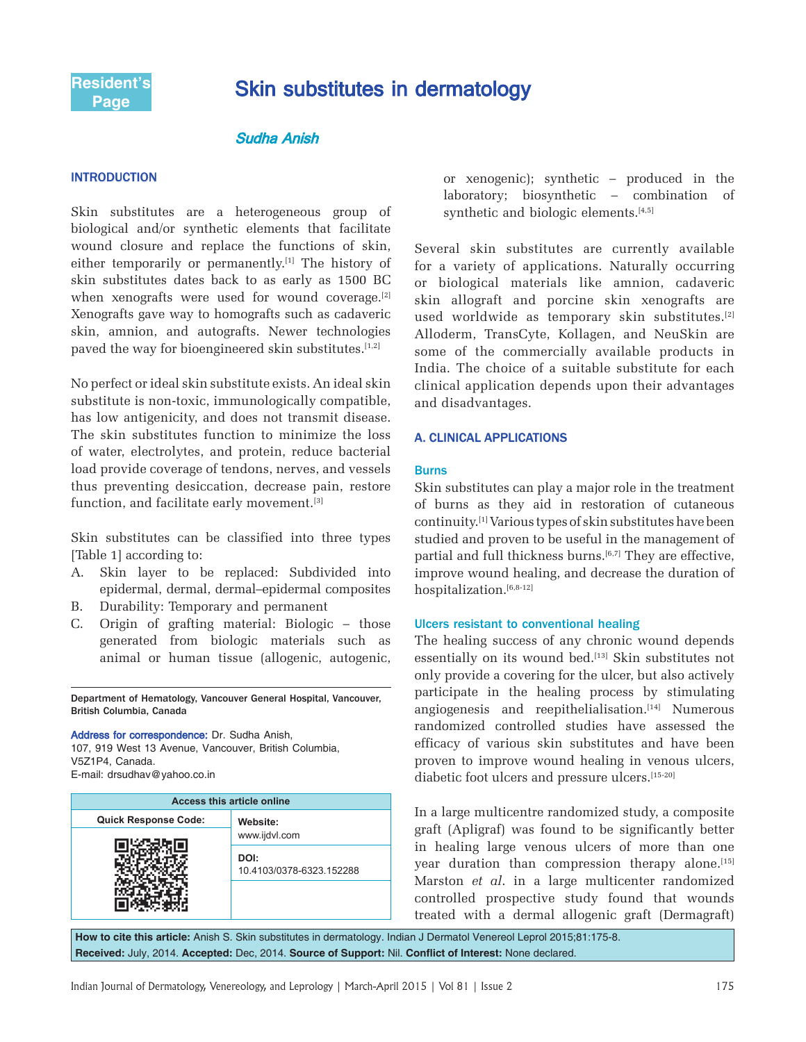# Skin substitutes in dermatology

# **Sudha Anish**

## **INTRODUCTION**

Skin substitutes are a heterogeneous group of biological and/or synthetic elements that facilitate wound closure and replace the functions of skin, either temporarily or permanently.<sup>[1]</sup> The history of skin substitutes dates back to as early as 1500 BC when xenografts were used for wound coverage.<sup>[2]</sup> Xenografts gave way to homografts such as cadaveric skin, amnion, and autografts. Newer technologies paved the way for bioengineered skin substitutes.<sup>[1,2]</sup>

No perfect or ideal skin substitute exists. An ideal skin substitute is non-toxic, immunologically compatible, has low antigenicity, and does not transmit disease. The skin substitutes function to minimize the loss of water, electrolytes, and protein, reduce bacterial load provide coverage of tendons, nerves, and vessels thus preventing desiccation, decrease pain, restore function, and facilitate early movement.<sup>[3]</sup>

Skin substitutes can be classified into three types [Table 1] according to:

- A. Skin layer to be replaced: Subdivided into epidermal, dermal, dermal–epidermal composites
- B. Durability: Temporary and permanent
- C. Origin of grafting material: Biologic those generated from biologic materials such as animal or human tissue (allogenic, autogenic,

Department of Hematology, Vancouver General Hospital, Vancouver, British Columbia, Canada

Address for correspondence: Dr. Sudha Anish, 107, 919 West 13 Avenue, Vancouver, British Columbia, V5Z1P4, Canada. E-mail: drsudhav@yahoo.co.in

| <b>Access this article online</b> |                                  |  |  |  |
|-----------------------------------|----------------------------------|--|--|--|
| <b>Quick Response Code:</b>       | Website:<br>www.ijdvl.com        |  |  |  |
|                                   |                                  |  |  |  |
|                                   | DOI:<br>10.4103/0378-6323.152288 |  |  |  |
|                                   |                                  |  |  |  |

or xenogenic); synthetic – produced in the laboratory; biosynthetic – combination of synthetic and biologic elements. $[4,5]$ 

Several skin substitutes are currently available for a variety of applications. Naturally occurring or biological materials like amnion, cadaveric skin allograft and porcine skin xenografts are used worldwide as temporary skin substitutes.[2] Alloderm, TransCyte, Kollagen, and NeuSkin are some of the commercially available products in India. The choice of a suitable substitute for each clinical application depends upon their advantages and disadvantages.

# **A. CLINICAL APPLICATIONS**

## Burns

Skin substitutes can play a major role in the treatment of burns as they aid in restoration of cutaneous continuity.[1] Various types of skin substitutes have been studied and proven to be useful in the management of partial and full thickness burns.<sup>[6,7]</sup> They are effective, improve wound healing, and decrease the duration of hospitalization.<sup>[6,8-12]</sup>

## Ulcers resistant to conventional healing

The healing success of any chronic wound depends essentially on its wound bed.<sup>[13]</sup> Skin substitutes not only provide a covering for the ulcer, but also actively participate in the healing process by stimulating angiogenesis and reepithelialisation.<sup>[14]</sup> Numerous randomized controlled studies have assessed the efficacy of various skin substitutes and have been proven to improve wound healing in venous ulcers, diabetic foot ulcers and pressure ulcers.[15-20]

In a large multicentre randomized study, a composite graft (Apligraf) was found to be significantly better in healing large venous ulcers of more than one year duration than compression therapy alone.<sup>[15]</sup> Marston *et al*. in a large multicenter randomized controlled prospective study found that wounds treated with a dermal allogenic graft (Dermagraft)

**How to cite this article:** Anish S. Skin substitutes in dermatology. Indian J Dermatol Venereol Leprol 2015;81:175-8. **Received:** July, 2014. **Accepted:** Dec, 2014. **Source of Support:** Nil. **Confl ict of Interest:** None declared.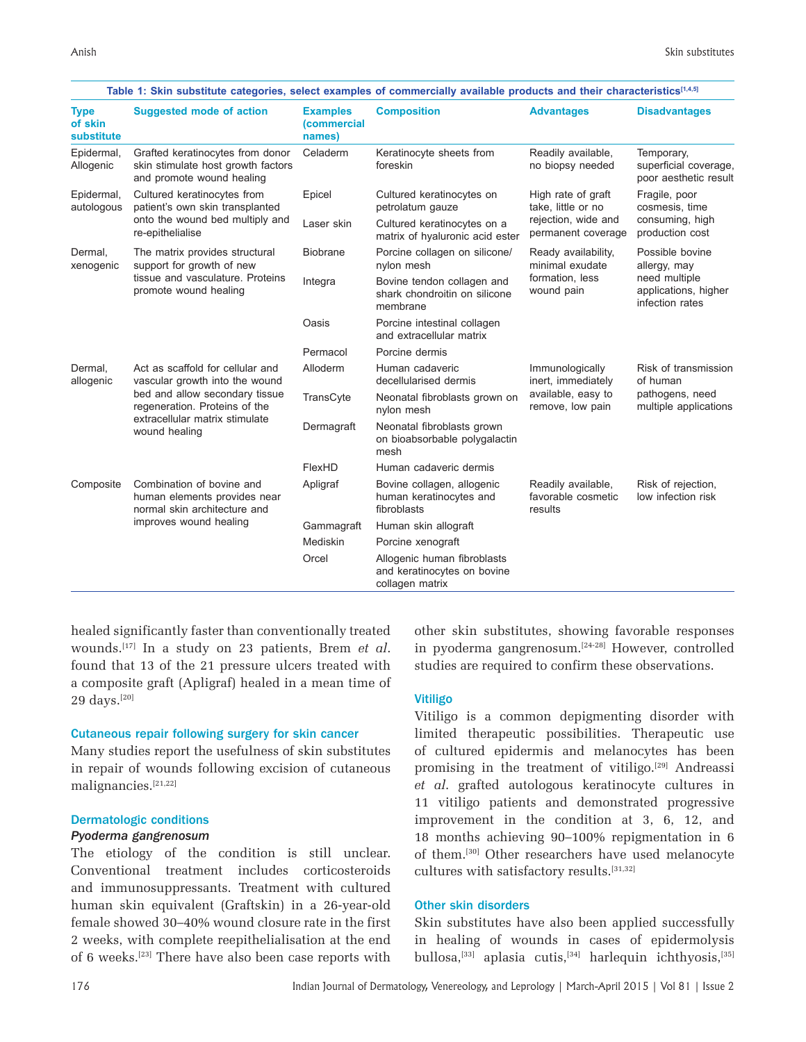| <b>Type</b><br>of skin<br>substitute | <b>Suggested mode of action</b>                                                                                                                                                          | <b>Examples</b><br>(commercial<br>names) | <b>Composition</b>                                                            | <b>Advantages</b>                                                                     | <b>Disadvantages</b>                                                                        |
|--------------------------------------|------------------------------------------------------------------------------------------------------------------------------------------------------------------------------------------|------------------------------------------|-------------------------------------------------------------------------------|---------------------------------------------------------------------------------------|---------------------------------------------------------------------------------------------|
| Epidermal,<br>Allogenic              | Grafted keratinocytes from donor<br>skin stimulate host growth factors<br>and promote wound healing                                                                                      | Celaderm                                 | Keratinocyte sheets from<br>foreskin                                          | Readily available,<br>no biopsy needed                                                | Temporary,<br>superficial coverage,<br>poor aesthetic result                                |
| Epidermal,<br>autologous             | Cultured keratinocytes from<br>patient's own skin transplanted<br>onto the wound bed multiply and<br>re-epithelialise                                                                    | Epicel                                   | Cultured keratinocytes on<br>petrolatum gauze                                 | High rate of graft<br>take, little or no<br>rejection, wide and<br>permanent coverage | Fragile, poor<br>cosmesis, time<br>consuming, high<br>production cost                       |
|                                      |                                                                                                                                                                                          | Laser skin                               | Cultured keratinocytes on a<br>matrix of hyaluronic acid ester                |                                                                                       |                                                                                             |
| Dermal,<br>xenogenic                 | The matrix provides structural<br>support for growth of new<br>tissue and vasculature. Proteins<br>promote wound healing                                                                 | <b>Biobrane</b>                          | Porcine collagen on silicone/<br>nylon mesh                                   | Ready availability,<br>minimal exudate<br>formation. less<br>wound pain               | Possible bovine<br>allergy, may<br>need multiple<br>applications, higher<br>infection rates |
|                                      |                                                                                                                                                                                          | Integra                                  | Bovine tendon collagen and<br>shark chondroitin on silicone<br>membrane       |                                                                                       |                                                                                             |
|                                      |                                                                                                                                                                                          | Oasis                                    | Porcine intestinal collagen<br>and extracellular matrix                       |                                                                                       |                                                                                             |
|                                      |                                                                                                                                                                                          | Permacol                                 | Porcine dermis                                                                |                                                                                       |                                                                                             |
| Dermal,<br>allogenic                 | Act as scaffold for cellular and<br>vascular growth into the wound<br>bed and allow secondary tissue<br>regeneration. Proteins of the<br>extracellular matrix stimulate<br>wound healing | Alloderm                                 | Human cadaveric<br>decellularised dermis                                      | Immunologically<br>inert, immediately<br>available, easy to<br>remove, low pain       | Risk of transmission<br>of human<br>pathogens, need<br>multiple applications                |
|                                      |                                                                                                                                                                                          | TransCyte                                | Neonatal fibroblasts grown on<br>nylon mesh                                   |                                                                                       |                                                                                             |
|                                      |                                                                                                                                                                                          | Dermagraft                               | Neonatal fibroblasts grown<br>on bioabsorbable polygalactin<br>mesh           |                                                                                       |                                                                                             |
|                                      |                                                                                                                                                                                          | FlexHD                                   | Human cadaveric dermis                                                        |                                                                                       |                                                                                             |
| Composite                            | Combination of bovine and<br>human elements provides near<br>normal skin architecture and<br>improves wound healing                                                                      | Apligraf                                 | Bovine collagen, allogenic<br>human keratinocytes and<br>fibroblasts          | Readily available,<br>favorable cosmetic<br>results                                   | Risk of rejection,<br>low infection risk                                                    |
|                                      |                                                                                                                                                                                          | Gammagraft                               | Human skin allograft                                                          |                                                                                       |                                                                                             |
|                                      |                                                                                                                                                                                          | Mediskin                                 | Porcine xenograft                                                             |                                                                                       |                                                                                             |
|                                      |                                                                                                                                                                                          | Orcel                                    | Allogenic human fibroblasts<br>and keratinocytes on bovine<br>collagen matrix |                                                                                       |                                                                                             |

healed significantly faster than conventionally treated wounds.[17] In a study on 23 patients, Brem *et al*. found that 13 of the 21 pressure ulcers treated with a composite graft (Apligraf) healed in a mean time of 29 days.[20]

# Cutaneous repair following surgery for skin cancer

Many studies report the usefulness of skin substitutes in repair of wounds following excision of cutaneous malignancies.[21,22]

## Dermatologic conditions

#### *Pyoderma gangrenosum*

The etiology of the condition is still unclear. Conventional treatment includes corticosteroids and immunosuppressants. Treatment with cultured human skin equivalent (Graftskin) in a 26-year-old female showed 30–40% wound closure rate in the first 2 weeks, with complete reepithelialisation at the end of 6 weeks.[23] There have also been case reports with other skin substitutes, showing favorable responses in pyoderma gangrenosum.[24-28] However, controlled studies are required to confirm these observations.

#### Vitiligo

Vitiligo is a common depigmenting disorder with limited therapeutic possibilities. Therapeutic use of cultured epidermis and melanocytes has been promising in the treatment of vitiligo.[29] Andreassi *et al*. grafted autologous keratinocyte cultures in 11 vitiligo patients and demonstrated progressive improvement in the condition at 3, 6, 12, and 18 months achieving 90–100% repigmentation in 6 of them.[30] Other researchers have used melanocyte cultures with satisfactory results.[31,32]

## Other skin disorders

Skin substitutes have also been applied successfully in healing of wounds in cases of epidermolysis bullosa,<sup>[33]</sup> aplasia cutis,<sup>[34]</sup> harlequin ichthyosis,<sup>[35]</sup>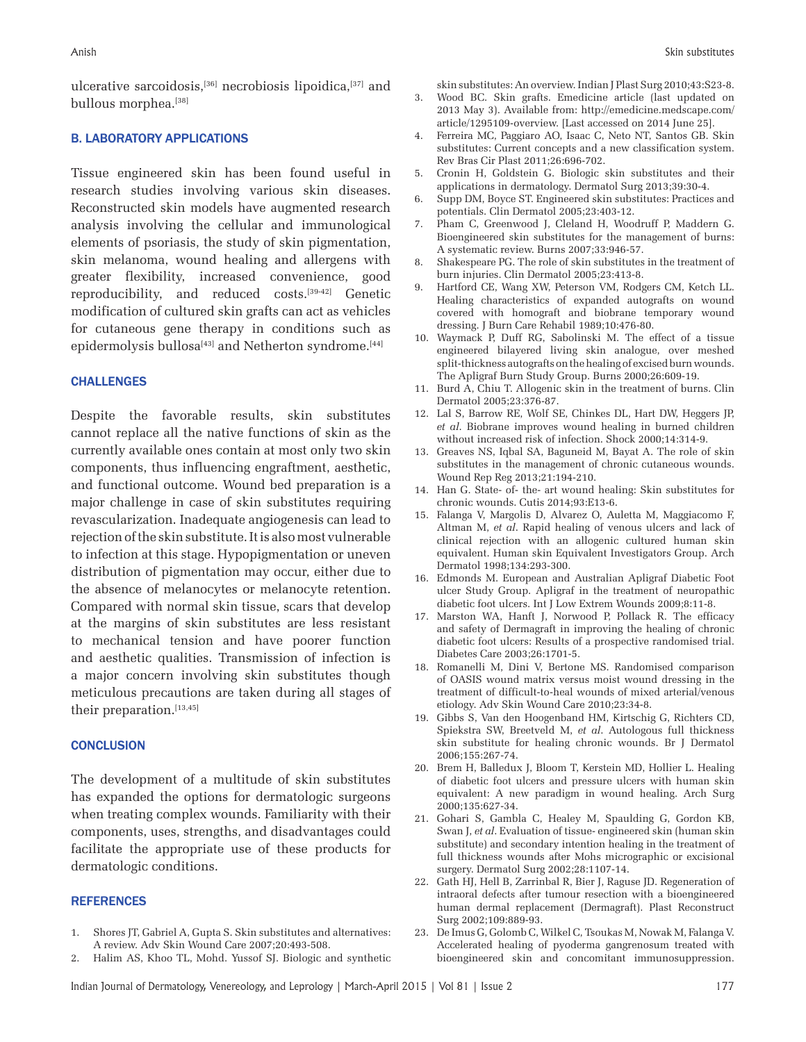ulcerative sarcoidosis,[36] necrobiosis lipoidica,[37] and bullous morphea.[38]

# **B. LABORATORY APPLICATIONS**

Tissue engineered skin has been found useful in research studies involving various skin diseases. Reconstructed skin models have augmented research analysis involving the cellular and immunological elements of psoriasis, the study of skin pigmentation, skin melanoma, wound healing and allergens with greater flexibility, increased convenience, good reproducibility, and reduced costs.[39-42] Genetic modification of cultured skin grafts can act as vehicles for cutaneous gene therapy in conditions such as epidermolysis bullosa<sup>[43]</sup> and Netherton syndrome.<sup>[44]</sup>

## **CHALLENGES**

Despite the favorable results, skin substitutes cannot replace all the native functions of skin as the currently available ones contain at most only two skin components, thus influencing engraftment, aesthetic, and functional outcome. Wound bed preparation is a major challenge in case of skin substitutes requiring revascularization. Inadequate angiogenesis can lead to rejection of the skin substitute. It is also most vulnerable to infection at this stage. Hypopigmentation or uneven distribution of pigmentation may occur, either due to the absence of melanocytes or melanocyte retention. Compared with normal skin tissue, scars that develop at the margins of skin substitutes are less resistant to mechanical tension and have poorer function and aesthetic qualities. Transmission of infection is a major concern involving skin substitutes though meticulous precautions are taken during all stages of their preparation.<sup>[13,45]</sup>

# **CONCLUSION**

The development of a multitude of skin substitutes has expanded the options for dermatologic surgeons when treating complex wounds. Familiarity with their components, uses, strengths, and disadvantages could facilitate the appropriate use of these products for dermatologic conditions.

#### **REFERENCES**

- 1. Shores JT, Gabriel A, Gupta S. Skin substitutes and alternatives: A review. Adv Skin Wound Care 2007;20:493-508.
- 2. Halim AS, Khoo TL, Mohd. Yussof SJ. Biologic and synthetic

skin substitutes: An overview. Indian J Plast Surg 2010;43:S23-8.

- 3. Wood BC. Skin grafts. Emedicine article (last updated on 2013 May 3). Available from: http://emedicine.medscape.com/ article/1295109-overview. [Last accessed on 2014 June 25].
- 4. Ferreira MC, Paggiaro AO, Isaac C, Neto NT, Santos GB. Skin substitutes: Current concepts and a new classification system. Rev Bras Cir Plast 2011;26:696-702.
- 5. Cronin H, Goldstein G. Biologic skin substitutes and their applications in dermatology. Dermatol Surg 2013;39:30-4.
- 6. Supp DM, Boyce ST. Engineered skin substitutes: Practices and potentials. Clin Dermatol 2005;23:403-12.
- 7. Pham C, Greenwood J, Cleland H, Woodruff P, Maddern G. Bioengineered skin substitutes for the management of burns: A systematic review. Burns 2007;33:946-57.
- 8. Shakespeare PG. The role of skin substitutes in the treatment of burn injuries. Clin Dermatol 2005;23:413-8.
- 9. Hartford CE, Wang XW, Peterson VM, Rodgers CM, Ketch LL. Healing characteristics of expanded autografts on wound covered with homograft and biobrane temporary wound dressing. J Burn Care Rehabil 1989;10:476-80.
- 10. Waymack P, Duff RG, Sabolinski M. The effect of a tissue engineered bilayered living skin analogue, over meshed split-thickness autografts on the healing of excised burn wounds. The Apligraf Burn Study Group. Burns 2000;26:609-19.
- 11. Burd A, Chiu T. Allogenic skin in the treatment of burns. Clin Dermatol 2005;23:376-87.
- 12. Lal S, Barrow RE, Wolf SE, Chinkes DL, Hart DW, Heggers JP, *et al*. Biobrane improves wound healing in burned children without increased risk of infection. Shock 2000;14:314-9.
- 13. Greaves NS, Iqbal SA, Baguneid M, Bayat A. The role of skin substitutes in the management of chronic cutaneous wounds. Wound Rep Reg 2013;21:194-210.
- 14. Han G. State- of- the- art wound healing: Skin substitutes for chronic wounds. Cutis 2014;93:E13-6.
- 15. Falanga V, Margolis D, Alvarez O, Auletta M, Maggiacomo F, Altman M, *et al*. Rapid healing of venous ulcers and lack of clinical rejection with an allogenic cultured human skin equivalent. Human skin Equivalent Investigators Group. Arch Dermatol 1998;134:293-300.
- 16. Edmonds M. European and Australian Apligraf Diabetic Foot ulcer Study Group. Apligraf in the treatment of neuropathic diabetic foot ulcers. Int J Low Extrem Wounds 2009;8:11-8.
- 17. Marston WA, Hanft J, Norwood P, Pollack R. The efficacy and safety of Dermagraft in improving the healing of chronic diabetic foot ulcers: Results of a prospective randomised trial. Diabetes Care 2003;26:1701-5.
- 18. Romanelli M, Dini V, Bertone MS. Randomised comparison of OASIS wound matrix versus moist wound dressing in the treatment of difficult-to-heal wounds of mixed arterial/venous etiology. Adv Skin Wound Care 2010;23:34-8.
- 19. Gibbs S, Van den Hoogenband HM, Kirtschig G, Richters CD, Spiekstra SW, Breetveld M, *et al*. Autologous full thickness skin substitute for healing chronic wounds. Br J Dermatol 2006;155:267-74.
- 20. Brem H, Balledux J, Bloom T, Kerstein MD, Hollier L. Healing of diabetic foot ulcers and pressure ulcers with human skin equivalent: A new paradigm in wound healing. Arch Surg 2000;135:627-34.
- 21. Gohari S, Gambla C, Healey M, Spaulding G, Gordon KB, Swan J, *et al*. Evaluation of tissue- engineered skin (human skin substitute) and secondary intention healing in the treatment of full thickness wounds after Mohs micrographic or excisional surgery. Dermatol Surg 2002;28:1107-14.
- 22. Gath HJ, Hell B, Zarrinbal R, Bier J, Raguse JD. Regeneration of intraoral defects after tumour resection with a bioengineered human dermal replacement (Dermagraft). Plast Reconstruct Surg 2002;109:889-93.
- 23. De Imus G, Golomb C, Wilkel C, Tsoukas M, Nowak M, Falanga V. Accelerated healing of pyoderma gangrenosum treated with bioengineered skin and concomitant immunosuppression.